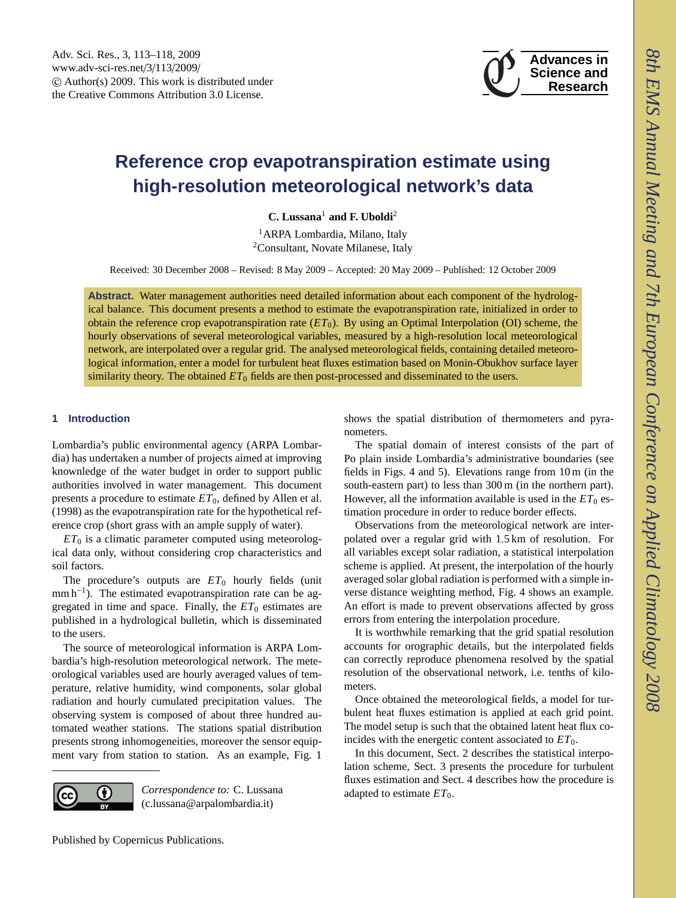

# <span id="page-0-0"></span>**Reference crop evapotranspiration estimate using high-resolution meteorological network's data**

**C. Lussana**<sup>1</sup> **and F. Uboldi**<sup>2</sup>

<sup>1</sup> ARPA Lombardia, Milano, Italy <sup>2</sup>Consultant, Novate Milanese, Italy

Received: 30 December 2008 – Revised: 8 May 2009 – Accepted: 20 May 2009 – Published: 12 October 2009

**Abstract.** Water management authorities need detailed information about each component of the hydrological balance. This document presents a method to estimate the evapotranspiration rate, initialized in order to obtain the reference crop evapotranspiration rate  $(ET_0)$ . By using an Optimal Interpolation (OI) scheme, the hourly observations of several meteorological variables, measured by a high-resolution local meteorological network, are interpolated over a regular grid. The analysed meteorological fields, containing detailed meteorological information, enter a model for turbulent heat fluxes estimation based on Monin-Obukhov surface layer similarity theory. The obtained *ET*<sup>0</sup> fields are then post-processed and disseminated to the users.

## **1 Introduction**

Lombardia's public environmental agency (ARPA Lombardia) has undertaken a number of projects aimed at improving knownledge of the water budget in order to support public authorities involved in water management. This document presents a procedure to estimate *ET*0, defined by [Allen et al.](#page-4-0) [\(1998\)](#page-4-0) as the evapotranspiration rate for the hypothetical reference crop (short grass with an ample supply of water).

 $ET_0$  is a climatic parameter computed using meteorological data only, without considering crop characteristics and soil factors.

The procedure's outputs are  $ET_0$  hourly fields (unit mm h<sup>-1</sup>). The estimated evapotranspiration rate can be aggregated in time and space. Finally, the  $ET_0$  estimates are published in a hydrological bulletin, which is disseminated to the users.

The source of meteorological information is ARPA Lombardia's high-resolution meteorological network. The meteorological variables used are hourly averaged values of temperature, relative humidity, wind components, solar global radiation and hourly cumulated precipitation values. The observing system is composed of about three hundred automated weather stations. The stations spatial distribution presents strong inhomogeneities, moreover the sensor equipment vary from station to station. As an example, Fig. [1](#page-1-0)



*Correspondence to:* C. Lussana (c.lussana@arpalombardia.it)

shows the spatial distribution of thermometers and pyranometers.

The spatial domain of interest consists of the part of Po plain inside Lombardia's administrative boundaries (see fields in Figs. [4](#page-2-0) and [5\)](#page-2-1). Elevations range from 10 m (in the south-eastern part) to less than 300 m (in the northern part). However, all the information available is used in the  $ET_0$  estimation procedure in order to reduce border effects.

Observations from the meteorological network are interpolated over a regular grid with 1.5 km of resolution. For all variables except solar radiation, a statistical interpolation scheme is applied. At present, the interpolation of the hourly averaged solar global radiation is performed with a simple inverse distance weighting method, Fig. [4](#page-2-0) shows an example. An effort is made to prevent observations affected by gross errors from entering the interpolation procedure.

It is worthwhile remarking that the grid spatial resolution accounts for orographic details, but the interpolated fields can correctly reproduce phenomena resolved by the spatial resolution of the observational network, i.e. tenths of kilometers.

Once obtained the meteorological fields, a model for turbulent heat fluxes estimation is applied at each grid point. The model setup is such that the obtained latent heat flux coincides with the energetic content associated to  $ET_0$ .

In this document, Sect. [2](#page-1-1) describes the statistical interpolation scheme, Sect. [3](#page-2-2) presents the procedure for turbulent fluxes estimation and Sect. [4](#page-4-1) describes how the procedure is adapted to estimate *ET*0.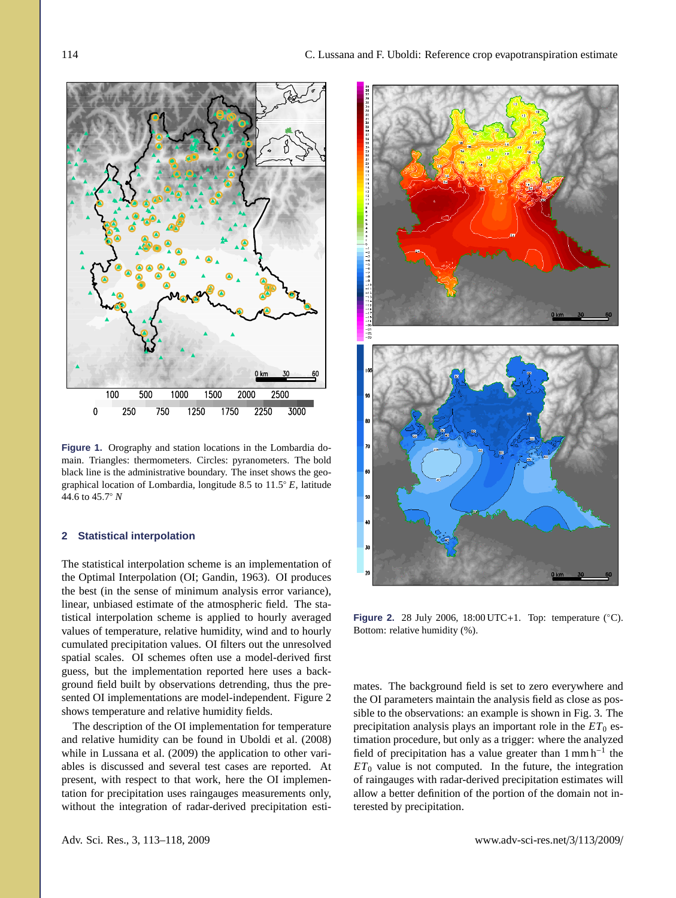

<span id="page-1-0"></span>**Figure 1.** Orography and station locations in the Lombardia domain. Triangles: thermometers. Circles: pyranometers. The bold black line is the administrative boundary. The inset shows the geographical location of Lombardia, longitude 8.5 to  $11.5^{\circ} E$ , latitude 44.6 to 45.7° *N* <sup>44</sup>.6 to 45.<sup>7</sup> ◦ *N*

## <span id="page-1-1"></span>**2 Statistical interpolation**

The statistical interpolation scheme is an implementation of the Optimal Interpolation (OI; [Gandin,](#page-4-2) [1963\)](#page-4-2). OI produces the best (in the sense of minimum analysis error variance), linear, unbiased estimate of the atmospheric field. The statistical interpolation scheme is applied to hourly averaged values of temperature, relative humidity, wind and to hourly cumulated precipitation values. OI filters out the unresolved spatial scales. OI schemes often use a model-derived first guess, but the implementation reported here uses a background field built by observations detrending, thus the presented OI implementations are model-independent. Figure [2](#page-1-2) shows temperature and relative humidity fields.

The description of the OI implementation for temperature and relative humidity can be found in [Uboldi et al.](#page-5-0) [\(2008\)](#page-5-0) while in [Lussana et al.](#page-4-3) [\(2009\)](#page-4-3) the application to other variables is discussed and several test cases are reported. At present, with respect to that work, here the OI implementation for precipitation uses raingauges measurements only, without the integration of radar-derived precipitation esti-



<span id="page-1-2"></span>**Figure 2.** 28 July 2006, 18:00 UTC+1. Top: temperature (°C). Bottom: relative humidity (%).

mates. The background field is set to zero everywhere and the OI parameters maintain the analysis field as close as possible to the observations: an example is shown in Fig. [3.](#page-2-3) The precipitation analysis plays an important role in the  $ET_0$  estimation procedure, but only as a trigger: where the analyzed field of precipitation has a value greater than  $1 \text{ mm h}^{-1}$  the  $ET_0$  value is not computed. In the future, the integration of raingauges with radar-derived precipitation estimates will allow a better definition of the portion of the domain not interested by precipitation.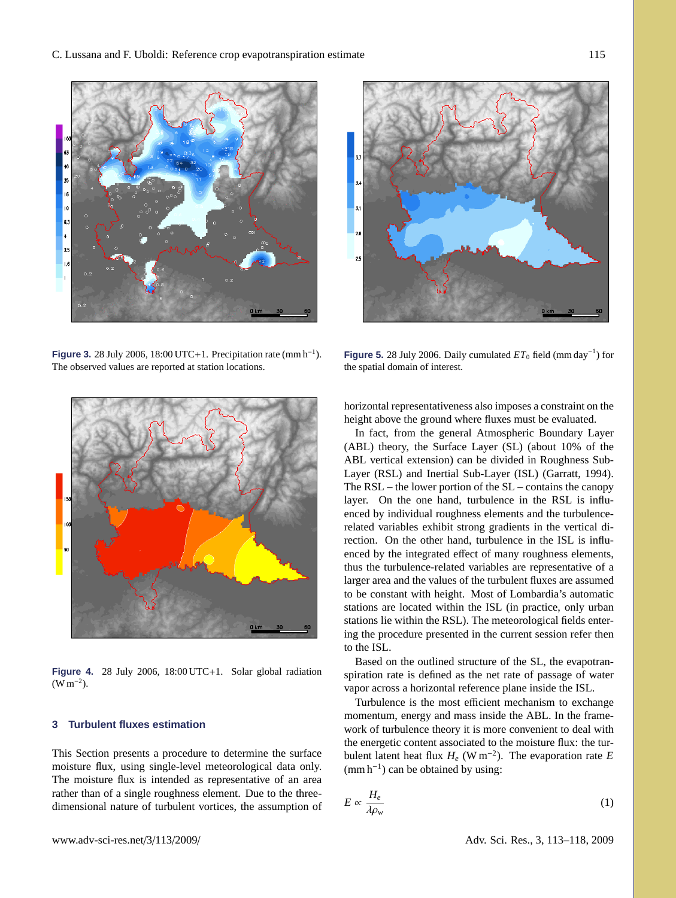

<span id="page-2-3"></span>**Figure 3.** 28 July 2006, 18:00 UTC+1. Precipitation rate (mm h<sup>−</sup><sup>1</sup> ). The observed values are reported at station locations.



**Figure 4.** 28 July 2006, 18:00 UTC+1. Solar global radiation  $(W m^{-2})$ .

# <span id="page-2-2"></span><span id="page-2-0"></span>**3 Turbulent fluxes estimation**

This Section presents a procedure to determine the surface moisture flux, using single-level meteorological data only. The moisture flux is intended as representative of an area rather than of a single roughness element. Due to the threedimensional nature of turbulent vortices, the assumption of



<span id="page-2-1"></span>**Figure 5.** 28 July 2006. Daily cumulated  $ET_0$  field (mm day<sup>-1</sup>) for the spatial domain of interest.

horizontal representativeness also imposes a constraint on the height above the ground where fluxes must be evaluated.

In fact, from the general Atmospheric Boundary Layer (ABL) theory, the Surface Layer (SL) (about 10% of the ABL vertical extension) can be divided in Roughness Sub-Layer (RSL) and Inertial Sub-Layer (ISL) [\(Garratt,](#page-4-4) [1994\)](#page-4-4). The  $RSL$  – the lower portion of the  $SL$  – contains the canopy layer. On the one hand, turbulence in the RSL is influenced by individual roughness elements and the turbulencerelated variables exhibit strong gradients in the vertical direction. On the other hand, turbulence in the ISL is influenced by the integrated effect of many roughness elements, thus the turbulence-related variables are representative of a larger area and the values of the turbulent fluxes are assumed to be constant with height. Most of Lombardia's automatic stations are located within the ISL (in practice, only urban stations lie within the RSL). The meteorological fields entering the procedure presented in the current session refer then to the ISL.

Based on the outlined structure of the SL, the evapotranspiration rate is defined as the net rate of passage of water vapor across a horizontal reference plane inside the ISL.

Turbulence is the most efficient mechanism to exchange momentum, energy and mass inside the ABL. In the framework of turbulence theory it is more convenient to deal with the energetic content associated to the moisture flux: the turbulent latent heat flux *H<sup>e</sup>* (W m<sup>−</sup><sup>2</sup> ). The evaporation rate *E*  $(\text{mm h}^{-1})$  can be obtained by using:

$$
E \propto \frac{H_e}{\lambda \rho_w} \tag{1}
$$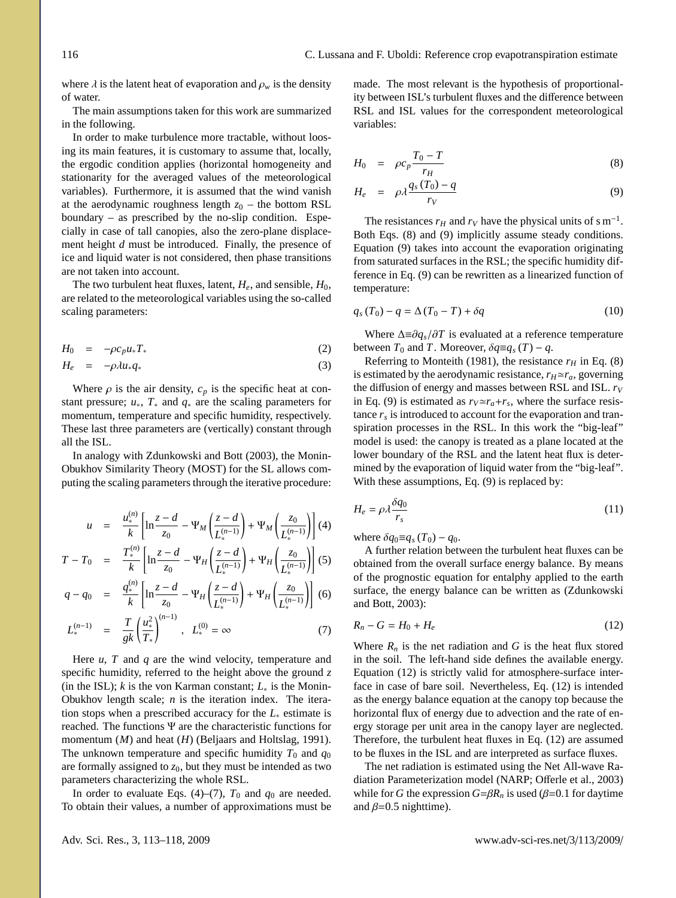where  $\lambda$  is the latent heat of evaporation and  $\rho_w$  is the density of water.

The main assumptions taken for this work are summarized in the following.

In order to make turbulence more tractable, without loosing its main features, it is customary to assume that, locally, the ergodic condition applies (horizontal homogeneity and stationarity for the averaged values of the meteorological variables). Furthermore, it is assumed that the wind vanish at the aerodynamic roughness length  $z_0$  – the bottom RSL boundary – as prescribed by the no-slip condition. Especially in case of tall canopies, also the zero-plane displacement height *d* must be introduced. Finally, the presence of ice and liquid water is not considered, then phase transitions are not taken into account.

The two turbulent heat fluxes, latent,  $H_e$ , and sensible,  $H_0$ , are related to the meteorological variables using the so-called scaling parameters:

$$
H_0 = -\rho c_p u_* T_* \tag{2}
$$

$$
H_e = -\rho \lambda u_* q_* \tag{3}
$$

Where  $\rho$  is the air density,  $c_p$  is the specific heat at constant pressure; *u*∗, *T*<sup>∗</sup> and *q*<sup>∗</sup> are the scaling parameters for momentum, temperature and specific humidity, respectively. These last three parameters are (vertically) constant through all the ISL.

In analogy with [Zdunkowski and Bott](#page-5-1) [\(2003\)](#page-5-1), the Monin-Obukhov Similarity Theory (MOST) for the SL allows computing the scaling parameters through the iterative procedure:

<span id="page-3-0"></span>
$$
u = \frac{u_*^{(n)}}{k} \left[ \ln \frac{z - d}{z_0} - \Psi_M \left( \frac{z - d}{L_*^{(n-1)}} \right) + \Psi_M \left( \frac{z_0}{L_*^{(n-1)}} \right) \right] (4)
$$

$$
T - T_0 = \frac{T_*^{(n)}}{k} \left[ \ln \frac{z - d}{z_0} - \Psi_H \left( \frac{z - d}{L_*^{(n-1)}} \right) + \Psi_H \left( \frac{z_0}{L_*^{(n-1)}} \right) \right] (5)
$$

$$
q - q_0 = \frac{q_*^{(n)}}{k} \left[ \ln \frac{z - d}{z_0} - \Psi_H \left( \frac{z - d}{L_*^{(n-1)}} \right) + \Psi_H \left( \frac{z_0}{L_*^{(n-1)}} \right) \right] (6)
$$

$$
L_*^{(n-1)} = \frac{T}{gk} \left( \frac{u_*^2}{T_*} \right)^{(n-1)}, \quad L_*^{(0)} = \infty \tag{7}
$$

Here *u*, *T* and *q* are the wind velocity, temperature and specific humidity, referred to the height above the ground *z* (in the ISL);  $k$  is the von Karman constant;  $L_*$  is the Monin-Obukhov length scale; *n* is the iteration index. The iteration stops when a prescribed accuracy for the *L*<sup>∗</sup> estimate is reached. The functions  $\Psi$  are the characteristic functions for momentum (*M*) and heat (*H*) [\(Beljaars and Holtslag,](#page-4-5) [1991\)](#page-4-5). The unknown temperature and specific humidity  $T_0$  and  $q_0$ are formally assigned to  $z_0$ , but they must be intended as two parameters characterizing the whole RSL.

In order to evaluate Eqs. [\(4\)](#page-3-0)–[\(7\)](#page-3-0),  $T_0$  and  $q_0$  are needed. To obtain their values, a number of approximations must be made. The most relevant is the hypothesis of proportionality between ISL's turbulent fluxes and the difference between RSL and ISL values for the correspondent meteorological variables:

$$
H_0 = \rho c_p \frac{T_0 - T}{r_H} \tag{8}
$$

<span id="page-3-1"></span>
$$
H_e = \rho \lambda \frac{q_s(T_0) - q}{r_V} \tag{9}
$$

The resistances  $r_H$  and  $r_V$  have the physical units of s m<sup>-1</sup>. Both Eqs. [\(8\)](#page-3-1) and [\(9\)](#page-3-1) implicitly assume steady conditions. Equation [\(9\)](#page-3-1) takes into account the evaporation originating from saturated surfaces in the RSL; the specific humidity difference in Eq. [\(9\)](#page-3-1) can be rewritten as a linearized function of temperature:

$$
q_s(T_0) - q = \Delta (T_0 - T) + \delta q \tag{10}
$$

Where <sup>∆</sup>≡∂*q<sup>s</sup>*/∂*<sup>T</sup>* is evaluated at a reference temperature between  $T_0$  and  $T$ . Moreover,  $\delta q \equiv q_s(T) - q$ .

Referring to [Monteith](#page-4-6) [\(1981\)](#page-4-6), the resistance  $r_H$  in Eq. [\(8\)](#page-3-1) is estimated by the aerodynamic resistance,  $r_H \simeq r_a$ , governing the diffusion of energy and masses between RSL and ISL. *r<sup>V</sup>* in Eq. [\(9\)](#page-3-1) is estimated as  $r_V \simeq r_a + r_s$ , where the surface resistance *r<sup>s</sup>* is introduced to account for the evaporation and transpiration processes in the RSL. In this work the "big-leaf" model is used: the canopy is treated as a plane located at the lower boundary of the RSL and the latent heat flux is determined by the evaporation of liquid water from the "big-leaf". With these assumptions, Eq. [\(9\)](#page-3-1) is replaced by:

$$
H_e = \rho \lambda \frac{\delta q_0}{r_s} \tag{11}
$$

where  $\delta q_0 \equiv q_s(T_0) - q_0$ .

A further relation between the turbulent heat fluxes can be obtained from the overall surface energy balance. By means of the prognostic equation for entalphy applied to the earth surface, the energy balance can be written as [\(Zdunkowski](#page-5-1) [and Bott,](#page-5-1) [2003\)](#page-5-1):

<span id="page-3-2"></span>
$$
R_n - G = H_0 + H_e \tag{12}
$$

Where  $R_n$  is the net radiation and G is the heat flux stored in the soil. The left-hand side defines the available energy. Equation [\(12\)](#page-3-2) is strictly valid for atmosphere-surface interface in case of bare soil. Nevertheless, Eq. [\(12\)](#page-3-2) is intended as the energy balance equation at the canopy top because the horizontal flux of energy due to advection and the rate of energy storage per unit area in the canopy layer are neglected. Therefore, the turbulent heat fluxes in Eq. [\(12\)](#page-3-2) are assumed to be fluxes in the ISL and are interpreted as surface fluxes.

The net radiation is estimated using the Net All-wave Radiation Parameterization model (NARP; Off[erle et al.,](#page-5-2) [2003\)](#page-5-2) while for *G* the expression  $G = \beta R_n$  is used ( $\beta = 0.1$  for daytime and  $\beta$ =0.5 nighttime).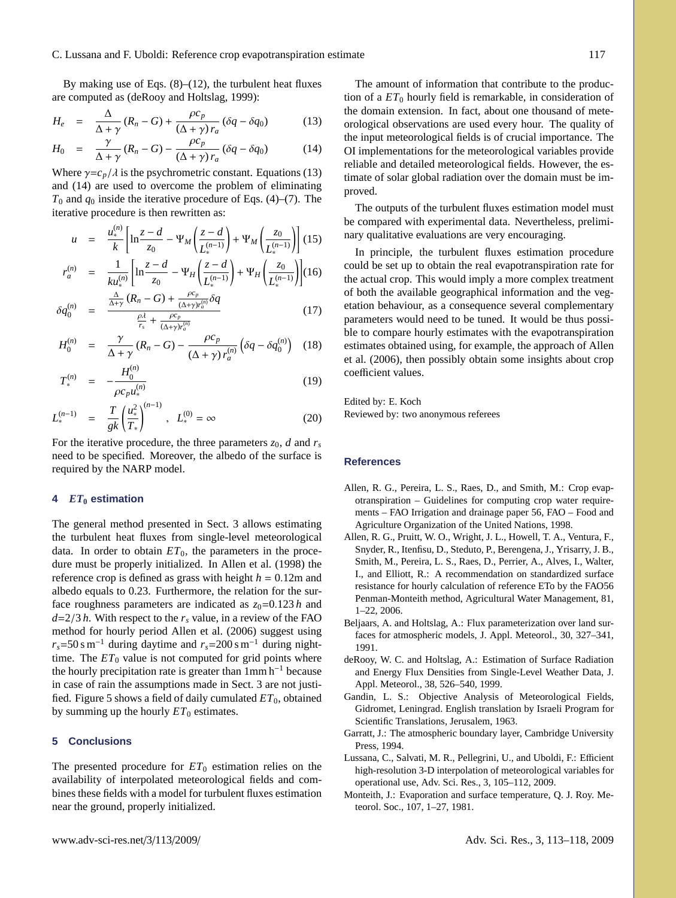By making use of Eqs.  $(8)$ – $(12)$ , the turbulent heat fluxes are computed as [\(deRooy and Holtslag,](#page-4-7) [1999\)](#page-4-7):

$$
H_e = \frac{\Delta}{\Delta + \gamma} (R_n - G) + \frac{\rho c_p}{(\Delta + \gamma) r_a} (\delta q - \delta q_0)
$$
(13)

<span id="page-4-8"></span>
$$
H_0 = \frac{\gamma}{\Delta + \gamma} (R_n - G) - \frac{\rho c_p}{(\Delta + \gamma) r_a} (\delta q - \delta q_0)
$$
(14)

Where  $\gamma = c_p/\lambda$  is the psychrometric constant. Equations [\(13\)](#page-4-8) and (14) are used to overcome the problem of eliminating and [\(14\)](#page-4-8) are used to overcome the problem of eliminating  $T_0$  and  $q_0$  inside the iterative procedure of Eqs. [\(4\)](#page-3-0)–[\(7\)](#page-3-0). The iterative procedure is then rewritten as:

$$
u = \frac{u_*^{(n)}}{k} \left[ \ln \frac{z - d}{z_0} - \Psi_M \left( \frac{z - d}{L_*^{(n-1)}} \right) + \Psi_M \left( \frac{z_0}{L_*^{(n-1)}} \right) \right] (15)
$$
  

$$
r_a^{(n)} = \frac{1}{ku_*^{(n)}} \left[ \ln \frac{z - d}{z_0} - \Psi_H \left( \frac{z - d}{L_*^{(n-1)}} \right) + \Psi_H \left( \frac{z_0}{L_*^{(n-1)}} \right) \right] (16)
$$

$$
\delta q_0^{(n)} = \frac{\frac{\Delta}{\Delta + \gamma} (R_n - G) + \frac{\rho c_p}{(\Delta + \gamma) r_a^{(n)}} \delta q}{\frac{\rho A}{r} + \frac{\rho c_p}{(\Delta + \gamma) r_a^{(n)}}} \tag{17}
$$

$$
H_0^{(n)} = \frac{\rho A}{r_s} + \frac{\rho c_p}{(\Delta + \gamma) r_a^{(n)}}
$$
  
\n
$$
H_0^{(n)} = \frac{\gamma}{\Delta + \gamma} (R_n - G) - \frac{\rho c_p}{(\Delta + \gamma) r_a^{(n)}} \left( \delta q - \delta q_0^{(n)} \right) (18)
$$

$$
\Delta + \gamma \stackrel{(1)}{\sim} (\Delta + \gamma) r_a^{(n)} \stackrel{(2q \to q_0)}{\sim} \tag{10}
$$

$$
T_*^{(n)} = -\frac{H_0}{\rho c_p u_*^{(n)}}
$$
(19)

$$
L_*^{(n-1)} = \frac{T}{gk} \left( \frac{u_*^2}{T_*} \right)^{(n-1)}, \quad L_*^{(0)} = \infty \tag{20}
$$

For the iterative procedure, the three parameters  $z_0$ , *d* and  $r_s$ need to be specified. Moreover, the albedo of the surface is required by the NARP model.

## <span id="page-4-1"></span>**4** *ET***<sup>0</sup> estimation**

The general method presented in Sect. [3](#page-2-2) allows estimating the turbulent heat fluxes from single-level meteorological data. In order to obtain  $ET_0$ , the parameters in the procedure must be properly initialized. In [Allen et al.](#page-4-0) [\(1998\)](#page-4-0) the reference crop is defined as grass with height  $h = 0.12$ m and albedo equals to 0.23. Furthermore, the relation for the surface roughness parameters are indicated as  $z_0=0.123 h$  and  $d=2/3 h$ . With respect to the  $r<sub>s</sub>$  value, in a review of the FAO method for hourly period [Allen et al.](#page-4-9) [\(2006\)](#page-4-9) suggest using  $r_s$ =50 s m<sup>-1</sup> during daytime and  $r_s$ =200 s m<sup>-1</sup> during nighttime. The  $ET_0$  value is not computed for grid points where the hourly precipitation rate is greater than  $1 \text{mm h}^{-1}$  because in case of rain the assumptions made in Sect. [3](#page-2-2) are not justified. Figure [5](#page-2-1) shows a field of daily cumulated *ET*0, obtained by summing up the hourly  $ET_0$  estimates.

#### **5 Conclusions**

The presented procedure for  $ET_0$  estimation relies on the availability of interpolated meteorological fields and combines these fields with a model for turbulent fluxes estimation near the ground, properly initialized.

The amount of information that contribute to the production of a  $ET_0$  hourly field is remarkable, in consideration of the domain extension. In fact, about one thousand of meteorological observations are used every hour. The quality of the input meteorological fields is of crucial importance. The OI implementations for the meteorological variables provide reliable and detailed meteorological fields. However, the estimate of solar global radiation over the domain must be improved.

The outputs of the turbulent fluxes estimation model must be compared with experimental data. Nevertheless, preliminary qualitative evaluations are very encouraging.

In principle, the turbulent fluxes estimation procedure could be set up to obtain the real evapotranspiration rate for the actual crop. This would imply a more complex treatment of both the available geographical information and the vegetation behaviour, as a consequence several complementary parameters would need to be tuned. It would be thus possible to compare hourly estimates with the evapotranspiration estimates obtained using, for example, the approach of [Allen](#page-4-9) [et al.](#page-4-9) [\(2006\)](#page-4-9), then possibly obtain some insights about crop coefficient values.

Edited by: E. Koch Reviewed by: two anonymous referees

# **References**

- <span id="page-4-0"></span>Allen, R. G., Pereira, L. S., Raes, D., and Smith, M.: Crop evapotranspiration – Guidelines for computing crop water requirements – FAO Irrigation and drainage paper 56, FAO – Food and Agriculture Organization of the United Nations, 1998.
- <span id="page-4-9"></span>Allen, R. G., Pruitt, W. O., Wright, J. L., Howell, T. A., Ventura, F., Snyder, R., Itenfisu, D., Steduto, P., Berengena, J., Yrisarry, J. B., Smith, M., Pereira, L. S., Raes, D., Perrier, A., Alves, I., Walter, I., and Elliott, R.: A recommendation on standardized surface resistance for hourly calculation of reference ETo by the FAO56 Penman-Monteith method, Agricultural Water Management, 81, 1–22, 2006.
- <span id="page-4-5"></span>Beljaars, A. and Holtslag, A.: Flux parameterization over land surfaces for atmospheric models, J. Appl. Meteorol., 30, 327–341, 1991.
- <span id="page-4-7"></span>deRooy, W. C. and Holtslag, A.: Estimation of Surface Radiation and Energy Flux Densities from Single-Level Weather Data, J. Appl. Meteorol., 38, 526–540, 1999.
- <span id="page-4-2"></span>Gandin, L. S.: Objective Analysis of Meteorological Fields, Gidromet, Leningrad. English translation by Israeli Program for Scientific Translations, Jerusalem, 1963.
- <span id="page-4-4"></span>Garratt, J.: The atmospheric boundary layer, Cambridge University Press, 1994.
- <span id="page-4-3"></span>Lussana, C., Salvati, M. R., Pellegrini, U., and Uboldi, F.: Efficient high-resolution 3-D interpolation of meteorological variables for operational use, Adv. Sci. Res., 3, 105–112, 2009.
- <span id="page-4-6"></span>Monteith, J.: Evaporation and surface temperature, Q. J. Roy. Meteorol. Soc., 107, 1–27, 1981.